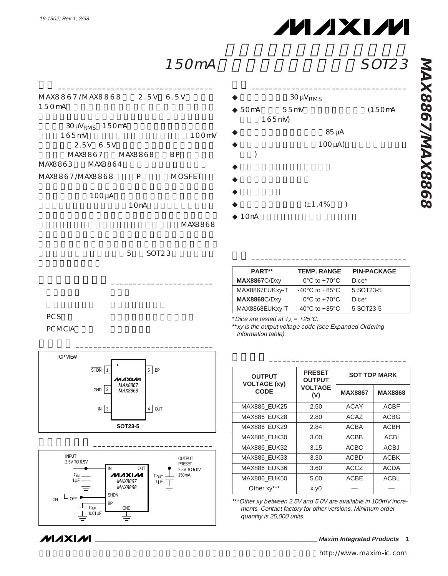# **MAXIM**

### 150mA SOT23

MAX8867/MAX8868 2.5V 6.5V 150mA

 $\frac{1}{2}$  ,  $\frac{1}{2}$  ,  $\frac{1}{2}$  ,  $\frac{1}{2}$  ,  $\frac{1}{2}$  ,  $\frac{1}{2}$  ,  $\frac{1}{2}$  ,  $\frac{1}{2}$  ,  $\frac{1}{2}$  ,  $\frac{1}{2}$  ,  $\frac{1}{2}$  ,  $\frac{1}{2}$  ,  $\frac{1}{2}$  ,  $\frac{1}{2}$  ,  $\frac{1}{2}$  ,  $\frac{1}{2}$  ,  $\frac{1}{2}$  ,  $\frac{1}{2}$  ,  $\frac{1$ 

|                 | $30 \mu V_{RMS}$ 150mA |                 |                  |
|-----------------|------------------------|-----------------|------------------|
| $165 \text{mV}$ |                        |                 | 100 <sub>m</sub> |
|                 | 2.5V 6.5V              |                 |                  |
|                 |                        | MAX8867 MAX8868 | <b>BP</b>        |
| MAX8863 MAX8864 |                        |                 |                  |
| MAX8867/MAX8868 |                        | P               | MOSFFT           |

 $100 \mu A$ 

 $10nA$ 

MAX8868

5 SOT23

#### $30 \mu V_{RMS}$  $\triangle$  50mA 55mV (150mA 165mV)  $85 \mu A$ 100µA(  $\mathcal{E}$

特長 \_\_\_\_\_\_\_\_\_\_\_\_\_\_\_\_\_\_\_\_\_\_\_\_\_\_\_\_\_\_\_\_\_\_\_

- $\bullet$
- $\bullet$
- $\blacklozenge$
- $(\pm 1.4\%)$
- $\triangleq$  10nA

**PART\*\* MAX8867**C/Dxy MAX8867EUKxy-T **MAX8868**C/Dxy 0°C to +70°C  $-40^{\circ}$ C to  $+85^{\circ}$ C 0°C to +70°C **TEMP. RANGE PIN-PACKAGE** Dice\* 5 SOT23-5 Dice\* MAX8868EUKxy-T -40°C to +85°C 5 SOT23-5

 $\overline{\phantom{a}}$  ,  $\overline{\phantom{a}}$  ,  $\overline{\phantom{a}}$  ,  $\overline{\phantom{a}}$  ,  $\overline{\phantom{a}}$  ,  $\overline{\phantom{a}}$  ,  $\overline{\phantom{a}}$  ,  $\overline{\phantom{a}}$  ,  $\overline{\phantom{a}}$  ,  $\overline{\phantom{a}}$  ,  $\overline{\phantom{a}}$  ,  $\overline{\phantom{a}}$  ,  $\overline{\phantom{a}}$  ,  $\overline{\phantom{a}}$  ,  $\overline{\phantom{a}}$  ,  $\overline{\phantom{a}}$ 

 $\overline{\phantom{a}}$  ,  $\overline{\phantom{a}}$  ,  $\overline{\phantom{a}}$  ,  $\overline{\phantom{a}}$  ,  $\overline{\phantom{a}}$  ,  $\overline{\phantom{a}}$  ,  $\overline{\phantom{a}}$  ,  $\overline{\phantom{a}}$  ,  $\overline{\phantom{a}}$  ,  $\overline{\phantom{a}}$  ,  $\overline{\phantom{a}}$  ,  $\overline{\phantom{a}}$  ,  $\overline{\phantom{a}}$  ,  $\overline{\phantom{a}}$  ,  $\overline{\phantom{a}}$  ,  $\overline{\phantom{a}}$ 

PCS マインピューター パームトップコンピュータ

PC MC<sub>IA</sub>

**MAXM** 



アプリケーション \_\_\_\_\_\_\_\_\_\_\_\_\_\_\_\_\_\_\_\_\_\_\_



**PRESET OUTPUT VOLTAGE (V)** MAX886\_EUK25 | 2.50 **OUTPUT VOLTAGE (xy) CODE** ACAY **SOT TOP MARK** ACBF **MAX8867 MAX8868** MAX886 EUK28 | 2.80 | ACAZ | ACBG MAX886\_EUK29 | 2.84 | ACBA | ACBH MAX886 EUK30 3.00 ACBB ACBI MAX886\_EUK32 | 3.15 | ACBC | ACBJ MAX886\_EUK33 | 3.30 | ACBD | ACBK MAX886 EUK36 3.60 ACCZ ACDA  $MAXB867$   $C_{0UT}$   $150mA$   $MAX886$   $EUK50$   $5.00$   $ACBE$   $ACBL$ 

> \*\*\* Other xy between 2.5V and 5.0V are available in 100mV increments. Contact factory for other versions. Minimum order quantity is 25,000 units.

Other xy\*\*\*  $\begin{vmatrix} x.y0 \end{vmatrix}$  –  $\begin{vmatrix} -1 & -1 \end{vmatrix}$ 

\* Dice are tested at  $T_A = +25^{\circ}$ C.

\*\*xy is the output voltage code (see Expanded Ordering Information table).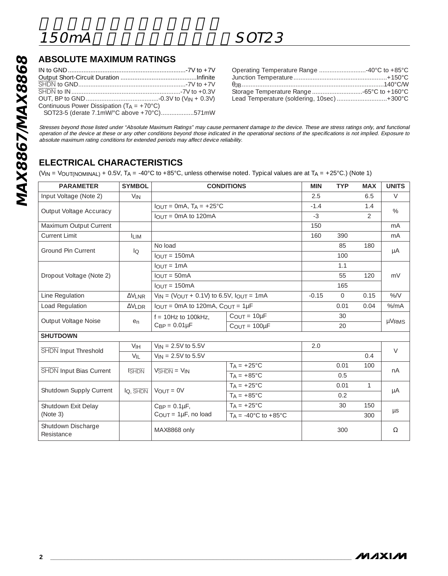### **ABSOLUTE MAXIMUM RATINGS**

| <b>ABSOLUTE MAXIMUM RATINGS</b>                                                                                                                                                |               |                                                                                 |
|--------------------------------------------------------------------------------------------------------------------------------------------------------------------------------|---------------|---------------------------------------------------------------------------------|
| Continuous Power Dissipation ( $T_A = +70^{\circ}C$ )<br>SOT23-5 (derate 7.1mW/°C above +70°C)571mW<br>Stresses beyond those listed under "Absolute Maximum Ratings" may cause |               |                                                                                 |
| operation of the device at these or any other conditions beyond those indicat<br>absolute maximum rating conditions for extended periods may affect device re                  |               |                                                                                 |
| <b>ELECTRICAL CHARACTERISTICS</b>                                                                                                                                              |               |                                                                                 |
|                                                                                                                                                                                |               | $(V_{IN} = V_{OUT(NOMINAL)} + 0.5V$ , $T_A = -40°C$ to $+85°C$ , unless otherwi |
|                                                                                                                                                                                |               |                                                                                 |
| <b>PARAMETER</b>                                                                                                                                                               | <b>SYMBOL</b> | <b>COND</b>                                                                     |
| Input Voltage (Note 2)                                                                                                                                                         | $V_{IN}$      |                                                                                 |

| Operating Temperature Range 40°C to +85°C  |  |
|--------------------------------------------|--|
|                                            |  |
|                                            |  |
|                                            |  |
| Lead Temperature (soldering, 10sec) +300°C |  |

Stresses beyond those listed under "Absolute Maximum Ratings" may cause permanent damage to the device. These are stress ratings only, and functional operation of the device at these or any other conditions beyond those indicated in the operational sections of the specifications is not implied. Exposure to absolute maximum rating conditions for extended periods may affect device reliability.

### **ELECTRICAL CHARACTERISTICS**

(VIN = VOUT(NOMINAL) + 0.5V, TA = -40°C to +85°C, unless otherwise noted. Typical values are at TA = +25°C.) (Note 1)

| <b>PARAMETER</b>                 | <b>SYMBOL</b>   | <b>CONDITIONS</b>                                             |                                          | <b>MIN</b> | <b>TYP</b>   | <b>MAX</b>    | <b>UNITS</b> |
|----------------------------------|-----------------|---------------------------------------------------------------|------------------------------------------|------------|--------------|---------------|--------------|
| Input Voltage (Note 2)           | $V_{IN}$        |                                                               |                                          | 2.5        |              | 6.5           | $\vee$       |
|                                  |                 | $I_{OUT} = 0mA$ , $T_A = +25°C$                               |                                          | $-1.4$     |              | 1.4           | %            |
| Output Voltage Accuracy          |                 | $I$ $O$ UT = 0mA to 120mA                                     |                                          | $-3$       |              | $\mathcal{P}$ |              |
| Maximum Output Current           |                 |                                                               |                                          | 150        |              |               | mA           |
| <b>Current Limit</b>             | <b>ILIM</b>     |                                                               |                                          | 160        | 390          |               | mA           |
| <b>Ground Pin Current</b>        |                 | No load                                                       |                                          |            | 85           | 180           |              |
|                                  | lo              | $I_{OUT} = 150mA$                                             |                                          |            | 100          |               | μA           |
|                                  |                 | $I$ <sub>OUT</sub> = 1mA                                      |                                          |            | 1.1          |               |              |
| Dropout Voltage (Note 2)         |                 | $IOUT = 50mA$<br>$IQIIT = 150mA$                              |                                          |            | 55           | 120           | mV           |
|                                  |                 |                                                               |                                          |            | 165          |               |              |
| Line Regulation                  | $\Delta V$ INR  | $V_{IN}$ = (V <sub>OUT</sub> + 0.1V) to 6.5V, $I_{OUT}$ = 1mA |                                          | $-0.15$    | $\mathbf{0}$ | 0.15          | $%$ /V       |
| Load Regulation                  | $\Delta V$ I DR | $I_{OUT}$ = 0mA to 120mA, $C_{OUT}$ = 1µF                     |                                          |            | 0.01         | 0.04          | $%$ /mA      |
|                                  | en              | $f = 10Hz$ to 100kHz.                                         | $C_{OUT} = 10 \mu F$                     |            | 30           |               | µVRMS        |
| Output Voltage Noise             |                 | $C_{BP} = 0.01 \mu F$                                         | $C_{OUT} = 100 \mu F$                    |            | 20           |               |              |
| <b>SHUTDOWN</b>                  |                 |                                                               |                                          |            |              |               |              |
| <b>SHDN</b> Input Threshold      | V <sub>IH</sub> | $V_{IN} = 2.5V$ to 5.5V                                       |                                          | 2.0        |              |               | $\vee$       |
|                                  | VIL             | $V_{IN} = 2.5V$ to 5.5V                                       |                                          |            |              | 0.4           |              |
| <b>SHDN</b> Input Bias Current   | <b>SHDN</b>     | $V\overline{\text{SHDN}} = V\text{IN}$                        | $T_A = +25^{\circ}C$                     |            | 0.01         | 100           | nA           |
|                                  |                 |                                                               | $TA = +85^{\circ}C$                      |            | 0.5          |               |              |
| Shutdown Supply Current          | IQ. SHDN        | $V_{\text{OUT}} = 0V$                                         | $T_A = +25^{\circ}C$                     |            | 0.01         | $\mathbf{1}$  | μA           |
|                                  |                 |                                                               | $T_A = +85^{\circ}$ C                    |            | 0.2          |               |              |
| Shutdown Exit Delay              |                 | $C_{BP} = 0.1 \mu F$ ,                                        | $TA = +25^{\circ}C$                      |            | 30           | 150           | $\mu s$      |
| (Note 3)                         |                 | $C_{OUT} = 1\mu F$ , no load                                  | $T_A = -40^{\circ}$ C to $+85^{\circ}$ C |            |              | 300           |              |
| Shutdown Discharge<br>Resistance |                 | MAX8868 only                                                  |                                          |            | 300          |               | $\Omega$     |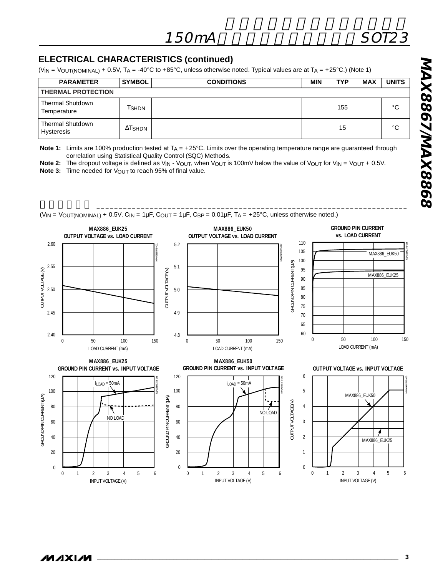#### **ELECTRICAL CHARACTERISTICS (continued)**

(VIN = VOUT(NOMINAL) + 0.5V, TA = -40°C to +85°C, unless otherwise noted. Typical values are at TA = +25°C.) (Note 1)

| <b>PARAMETER</b>                      | <b>SYMBOL</b>  | <b>CONDITIONS</b> | MIN | <b>TYP</b> | MAX | <b>UNITS</b> |
|---------------------------------------|----------------|-------------------|-----|------------|-----|--------------|
| <b>THERMAL PROTECTION</b>             |                |                   |     |            |     |              |
| Thermal Shutdown<br>Temperature       | l SHDN         |                   |     | 155        |     | $\circ$      |
| Thermal Shutdown<br><b>Hysteresis</b> | $\Delta$ Tshdn |                   |     | 15         |     | $\circ$      |

**Note 1:** Limits are 100% production tested at T<sub>A</sub> = +25°C. Limits over the operating temperature range are guaranteed through correlation using Statistical Quality Control (SQC) Methods.

 $\blacksquare$ 

**Note 2:** The dropout voltage is defined as V<sub>IN</sub> - V<sub>OUT</sub>, when V<sub>OUT</sub> is 100mV below the value of V<sub>OUT</sub> for V<sub>IN</sub> = V<sub>OUT</sub> + 0.5V. **Note 3:** Time needed for V<sub>OUT</sub> to reach 95% of final value.

 $(V_{IN} = V_{OUT(NOMINAL)} + 0.5V, C_{IN} = 1 \mu F, C_{OUT} = 1 \mu F, C_{BP} = 0.01 \mu F, T_A = +25°C$ , unless otherwise noted.) **GROUND PIN CURRENT MAX886\_EUK25 MAX886\_EUK50 vs. LOAD CURRENT OUTPUT VOLTAGE vs. LOAD CURRENT OUTPUT VOLTAGE vs. LOAD CURRENT** 2.60 5.2 110 MAX8867/8-02 MAX8867/8-01 105 MAX886\_EUK50 100 GROUND PIN CURRENT (MA) GROUND PIN CURRENT (µA) 2.55 5.1 OUTPUT VOLTAGE (V) 95 OUTPUT VOLTAGE (V) OUTPUT VOLTAGE (V) OUTPUT VOLTAGE (V) MAX886\_EUK25 90 85 5.0 2.50 80 75 2.45 4.9 70 65 60  $2.40$ 4.8 0 50 100 150 0 50 100 150 0 50 100 150 LOAD CURRENT (mA) LOAD CURRENT (mA) LOAD CURRENT (mA) **MAX886\_EUK25 MAX886\_EUK50 GROUND PIN CURRENT vs. INPUT VOLTAGEOUTPUT VOLTAGE vs. INPUT VOLTAGE GROUND PIN CURRENT vs. INPUT VOLTAGE**120 120 6 MAX8867/8-05 MAX8867/8-04  $I_{LOAD} = 50 \text{mA}$  $I_{LOAD} = 50mA$ 100 100 5 MAX886\_EUK50 GROUND PIN CURRENT (µA) GROUND PIN CURRENT (µA)  $\mathfrak{F}$ GROUND PIN CURRENT (µA) OUTPUT VOLTAGE (V) OUTPUT VOLTAGE (V) 4 80 80 GROUND PIN CURRENT ٢ NO LOAD NO LOAD 60 60 3 40  $\overline{2}$ 40 20  $20$ 1 0  $\boldsymbol{0}$ 

0 1 2 3 4 5 6

INPUT VOLTAGE (V)



MAX8867/8-03

0 1 2 3 4 5 6

INPUT VOLTAGE (V)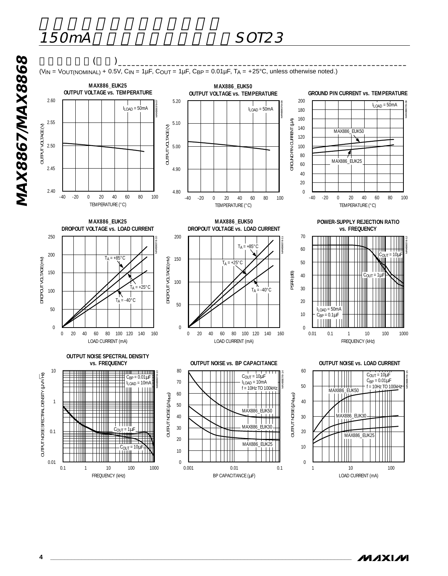

**4 \_\_\_\_\_\_\_\_\_\_\_\_\_\_\_\_\_\_\_\_\_\_\_\_\_\_\_\_\_\_\_\_\_\_\_\_\_\_\_\_\_\_\_\_\_\_\_\_\_\_\_\_\_\_\_\_\_\_\_\_\_\_\_\_\_\_\_\_\_\_\_\_\_\_\_\_\_\_\_\_\_\_\_\_\_\_\_**

**MAXIM**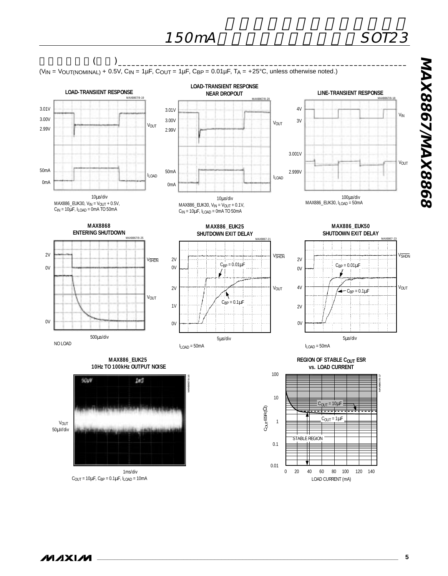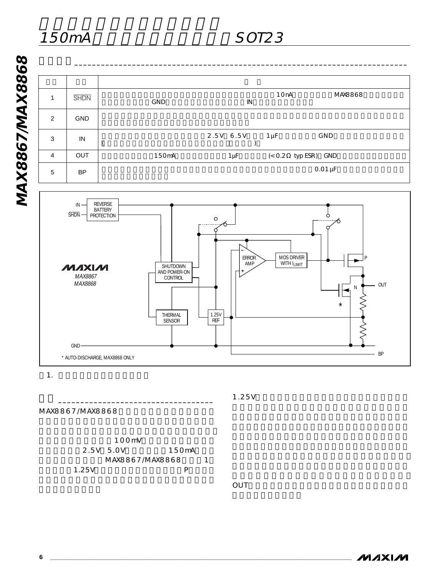

 $\mathbf{1}$ .  $\mathbf{2}$   $\mathbf{3}$   $\mathbf{4}$   $\mathbf{5}$   $\mathbf{7}$   $\mathbf{8}$   $\mathbf{9}$   $\mathbf{1}$   $\mathbf{1}$   $\mathbf{5}$   $\mathbf{1}$   $\mathbf{5}$   $\mathbf{1}$   $\mathbf{5}$   $\mathbf{1}$   $\mathbf{5}$   $\mathbf{1}$   $\mathbf{5}$   $\mathbf{1}$   $\mathbf{5}$   $\mathbf{1}$   $\mathbf{5}$   $\mathbf{1}$   $\mathbf$ 

1.25V

MAX8867/MAX8868



詳細 \_\_\_\_\_\_\_\_\_\_\_\_\_\_\_\_\_\_\_\_\_\_\_\_\_\_\_\_\_\_\_\_\_\_\_

OUTER EXPLORER THE RESERVE EXPLORER THAT IN THE RESERVE EXPLORER THAT IN THE RESERVE ENDING:

**MAXIM**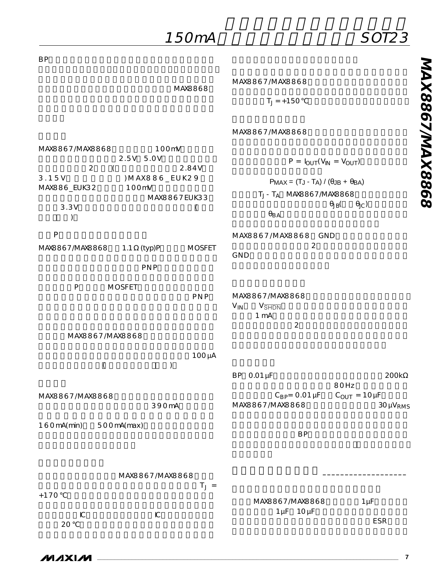| 150mA                                             | <i><b>SOT23</b></i>                                                                                         |
|---------------------------------------------------|-------------------------------------------------------------------------------------------------------------|
| <b>BP</b>                                         |                                                                                                             |
| MAX8868                                           | MAX8867/MAX8868                                                                                             |
|                                                   | $T_J = +150$                                                                                                |
|                                                   | MAX8867/MAX8868                                                                                             |
| MAX8867 MAX8868<br>100mV                          |                                                                                                             |
| 2.5V 5.0V<br>$\overline{2}$<br>$\left($<br>2.84V  | $P = I_{OUT}(V_{IN} = V_{OUT})$                                                                             |
| 3.15V<br>) MAX886_EUK29                           | $PMAX = (TJ - TA) / (\thetaJB + \theta BA)$                                                                 |
| 100mV<br>MAX886_EUK32<br>MAX8867EUK33             | $T_J$ - $T_A$ MAX8867 MAX8868                                                                               |
| 3.3V<br>(<br>⟩                                    | $\theta_{\text{JC}}$<br>$\theta_{\text{JB}}$<br>$\theta_{BA}$                                               |
| P                                                 | MAX8867/MAX8868 GND                                                                                         |
| MAX8867 MAX8868<br><b>MOSFET</b><br>1.1<br>(typ)P | $\overline{2}$<br>GND                                                                                       |
| <b>PNP</b>                                        |                                                                                                             |
|                                                   |                                                                                                             |
| ${\sf P}$<br><b>MOSFET</b><br><b>PNP</b>          | MAX8867 MAX8868<br>$V_{IN}$<br>$V_{\overline{\text{SHDN}}}$<br>1 <sub>mA</sub><br>$\overline{c}$            |
| MAX8867/MAX8868                                   |                                                                                                             |
| $100 \mu A$<br>$\left($<br>$\left( \right)$       |                                                                                                             |
|                                                   | BP 0.01 µF<br>200k                                                                                          |
| MAX8867 /MAX8868<br>390mA                         | 80Hz<br>$C_{\text{BP}} = 0.01 \,\mu\text{F}$<br>$C_{OUT} = 10 \mu F$<br>MAX8867 MAX8868<br>$30 \mu V_{RMS}$ |
| 160mA(min)<br>500mA(max)                          | <b>BP</b>                                                                                                   |
|                                                   |                                                                                                             |
| MAX8867 MAX8868<br>$T_J =$                        |                                                                                                             |
| $+170$                                            | MAX8867 MAX8868<br>$1 \mu F$                                                                                |
| ${\mathbb C}$<br>${\mathbb C}$<br>20              | $1 \mu F$ $10 \mu F$<br>ESR                                                                                 |

**MAX8867/MAX8868 MAX8867/MAX8868**

**\_\_\_\_\_\_\_\_\_\_\_\_\_\_\_\_\_\_\_\_\_\_\_\_\_\_\_\_\_\_\_\_\_\_\_\_\_\_\_\_\_\_\_\_\_\_\_\_\_\_\_\_\_\_\_\_\_\_\_\_\_\_\_\_\_\_\_\_\_\_\_\_\_\_\_\_\_\_\_\_\_\_\_\_\_\_\_ 7**